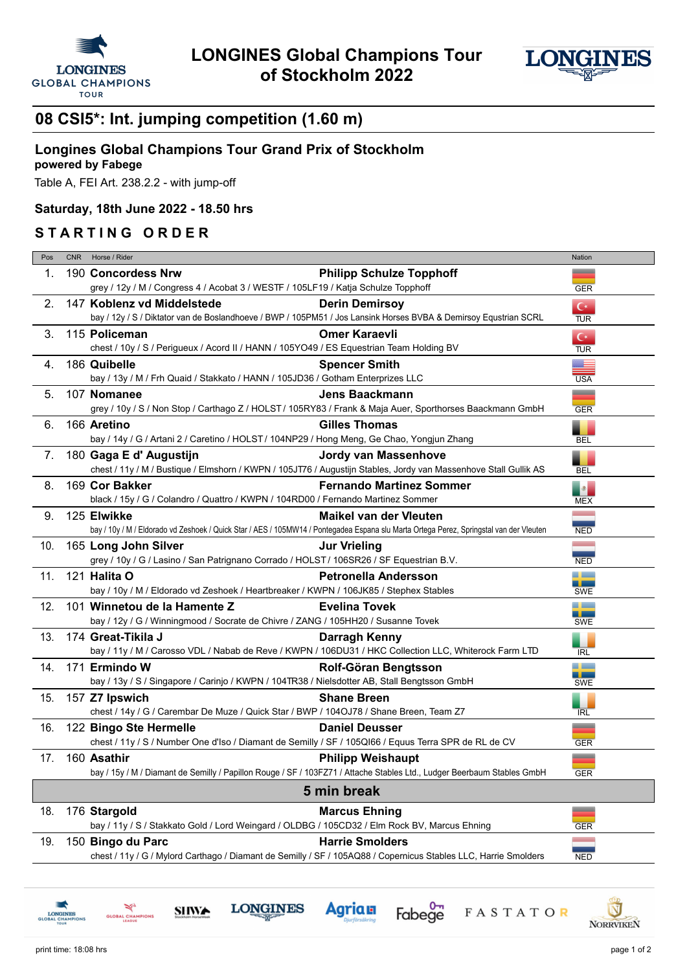



# **08 CSI5\*: Int. jumping competition (1.60 m)**

## **Longines Global Champions Tour Grand Prix of Stockholm**

#### **powered by Fabege**

Table A, FEI Art. 238.2.2 - with jump-off

#### **Saturday, 18th June 2022 - 18.50 hrs**

### **S T A R T I N G O R D E R**

| Pos         | <b>CNR</b> | Horse / Rider                                                                                                                                  |                                 | Nation                                                |  |
|-------------|------------|------------------------------------------------------------------------------------------------------------------------------------------------|---------------------------------|-------------------------------------------------------|--|
| 1.          |            | 190 Concordess Nrw<br>grey / 12y / M / Congress 4 / Acobat 3 / WESTF / 105LF19 / Katja Schulze Topphoff                                        | <b>Philipp Schulze Topphoff</b> | __<br><b>GER</b>                                      |  |
|             |            |                                                                                                                                                |                                 |                                                       |  |
| 2.          |            | 147 Koblenz vd Middelstede<br>bay / 12y / S / Diktator van de Boslandhoeve / BWP / 105PM51 / Jos Lansink Horses BVBA & Demirsoy Equstrian SCRL | <b>Derin Demirsoy</b>           | $C^*$<br><b>TUR</b>                                   |  |
| 3.          |            | 115 Policeman                                                                                                                                  | <b>Omer Karaevli</b>            | $C^*$                                                 |  |
|             |            | chest / 10y / S / Perigueux / Acord II / HANN / 105YO49 / ES Equestrian Team Holding BV                                                        |                                 | <b>TUR</b>                                            |  |
| 4.          |            | 186 Quibelle<br>bay / 13y / M / Frh Quaid / Stakkato / HANN / 105JD36 / Gotham Enterprizes LLC                                                 | <b>Spencer Smith</b>            | ▓▆▅<br><b>USA</b>                                     |  |
| 5.          |            | 107 Nomanee                                                                                                                                    | <b>Jens Baackmann</b>           | —                                                     |  |
|             |            | grey / 10y / S / Non Stop / Carthago Z / HOLST / 105RY83 / Frank & Maja Auer, Sporthorses Baackmann GmbH                                       |                                 | <b>GER</b>                                            |  |
| 6.          |            | 166 Aretino                                                                                                                                    | <b>Gilles Thomas</b>            | ۹                                                     |  |
|             |            | bay / 14y / G / Artani 2 / Caretino / HOLST / 104NP29 / Hong Meng, Ge Chao, Yongjun Zhang                                                      |                                 | <b>BEL</b>                                            |  |
| 7.          |            | 180 Gaga E d' Augustijn                                                                                                                        | Jordy van Massenhove            |                                                       |  |
|             |            | chest / 11y / M / Bustique / Elmshorn / KWPN / 105JT76 / Augustijn Stables, Jordy van Massenhove Stall Gullik AS                               |                                 | ٠<br><b>BEL</b>                                       |  |
| 8.          |            | 169 Cor Bakker                                                                                                                                 | <b>Fernando Martinez Sommer</b> | $\begin{array}{ c } \hline \hline \hline \end{array}$ |  |
|             |            | black / 15y / G / Colandro / Quattro / KWPN / 104RD00 / Fernando Martinez Sommer                                                               |                                 | <b>MEX</b>                                            |  |
| 9.          |            | 125 Elwikke                                                                                                                                    | <b>Maikel van der Vleuten</b>   | an an                                                 |  |
|             |            | bay / 10y / M / Eldorado vd Zeshoek / Quick Star / AES / 105MW14 / Pontegadea Espana slu Marta Ortega Perez, Springstal van der Vleuten        |                                 | <b>NED</b>                                            |  |
| 10.         |            | 165 Long John Silver                                                                                                                           | <b>Jur Vrieling</b>             | <b>College</b>                                        |  |
|             |            | grey / 10y / G / Lasino / San Patrignano Corrado / HOLST / 106SR26 / SF Equestrian B.V.                                                        |                                 | <b>NED</b>                                            |  |
| 11.         |            | 121 <b>Halita O</b>                                                                                                                            | <b>Petronella Andersson</b>     | الكاري                                                |  |
|             |            | bay / 10y / M / Eldorado vd Zeshoek / Heartbreaker / KWPN / 106JK85 / Stephex Stables                                                          |                                 | <b>SWE</b>                                            |  |
| 12.         |            | 101 Winnetou de la Hamente Z                                                                                                                   | <b>Evelina Tovek</b>            |                                                       |  |
|             |            | bay / 12y / G / Winningmood / Socrate de Chivre / ZANG / 105HH20 / Susanne Tovek                                                               |                                 | --<br><b>SWE</b>                                      |  |
| 13.         |            | 174 Great-Tikila J                                                                                                                             | Darragh Kenny                   | ш                                                     |  |
|             |            | bay / 11y / M / Carosso VDL / Nabab de Reve / KWPN / 106DU31 / HKC Collection LLC, Whiterock Farm LTD                                          |                                 | <b>IRL</b>                                            |  |
| 14.         |            | 171 Ermindo W                                                                                                                                  | Rolf-Göran Bengtsson            |                                                       |  |
|             |            | bay / 13y / S / Singapore / Carinjo / KWPN / 104TR38 / Nielsdotter AB, Stall Bengtsson GmbH                                                    |                                 | - -<br><b>SWE</b>                                     |  |
| 15.         |            | 157 Z7 Ipswich                                                                                                                                 | <b>Shane Breen</b>              |                                                       |  |
|             |            | chest / 14y / G / Carembar De Muze / Quick Star / BWP / 104OJ78 / Shane Breen, Team Z7                                                         |                                 | <b>IRL</b>                                            |  |
| 16.         |            | 122 Bingo Ste Hermelle                                                                                                                         | <b>Daniel Deusser</b>           | ▃                                                     |  |
|             |            | chest / 11y / S / Number One d'Iso / Diamant de Semilly / SF / 105QI66 / Equus Terra SPR de RL de CV                                           |                                 | <b>GER</b>                                            |  |
| 17.         |            | 160 Asathir                                                                                                                                    | <b>Philipp Weishaupt</b>        | __                                                    |  |
|             |            | bay / 15y / M / Diamant de Semilly / Papillon Rouge / SF / 103FZ71 / Attache Stables Ltd., Ludger Beerbaum Stables GmbH                        |                                 | <b>GER</b>                                            |  |
| 5 min break |            |                                                                                                                                                |                                 |                                                       |  |
| 18.         |            | 176 Stargold                                                                                                                                   | <b>Marcus Ehning</b>            | ▃                                                     |  |
|             |            | bay / 11y / S / Stakkato Gold / Lord Weingard / OLDBG / 105CD32 / Elm Rock BV, Marcus Ehning                                                   |                                 | <b>GER</b>                                            |  |
| 19.         |            | 150 Bingo du Parc                                                                                                                              | <b>Harrie Smolders</b>          |                                                       |  |
|             |            | chest / 11y / G / Mylord Carthago / Diamant de Semilly / SF / 105AQ88 / Copernicus Stables LLC, Harrie Smolders                                |                                 | <b>NED</b>                                            |  |
|             |            |                                                                                                                                                |                                 |                                                       |  |

Fabege

FASTATOR

**Agrian** 

**LONGINES** 

**SHWA** 

AL CHAM



Ŵ

**NORRVIKEN**